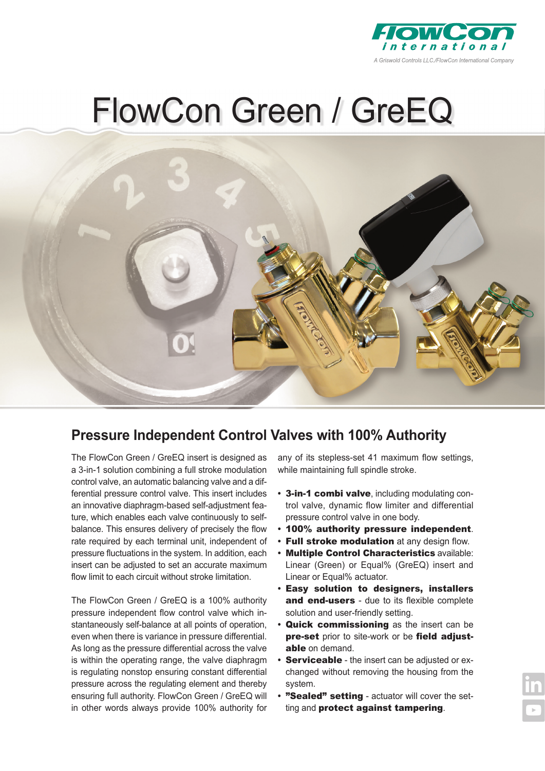

## FlowCon Green / GreEQ



### **Pressure Independent Control Valves with 100% Authority**

The FlowCon Green / GreEQ insert is designed as a 3-in-1 solution combining a full stroke modulation control valve, an automatic balancing valve and a differential pressure control valve. This insert includes an innovative diaphragm-based self-adjustment feature, which enables each valve continuously to selfbalance. This ensures delivery of precisely the flow rate required by each terminal unit, independent of pressure fluctuations in the system. In addition, each insert can be adjusted to set an accurate maximum flow limit to each circuit without stroke limitation.

The FlowCon Green / GreEQ is a 100% authority pressure independent flow control valve which instantaneously self-balance at all points of operation, even when there is variance in pressure differential. As long as the pressure differential across the valve is within the operating range, the valve diaphragm is regulating nonstop ensuring constant differential pressure across the regulating element and thereby ensuring full authority. FlowCon Green / GreEQ will in other words always provide 100% authority for

any of its stepless-set 41 maximum flow settings, while maintaining full spindle stroke.

- **•** 3-in-1 combi valve, including modulating control valve, dynamic flow limiter and differential pressure control valve in one body.
- **•** 100% authority pressure independent.
- **•** Full stroke modulation at any design flow.
- **•** Multiple Control Characteristics available: Linear (Green) or Equal% (GreEQ) insert and Linear or Equal% actuator.
- **•** Easy solution to designers, installers and end-users - due to its flexible complete solution and user-friendly setting.
- **•** Quick commissioning as the insert can be pre-set prior to site-work or be field adjustable on demand.
- **Serviceable** the insert can be adjusted or exchanged without removing the housing from the system.
- **•** "Sealed" setting actuator will cover the setting and protect against tampering.